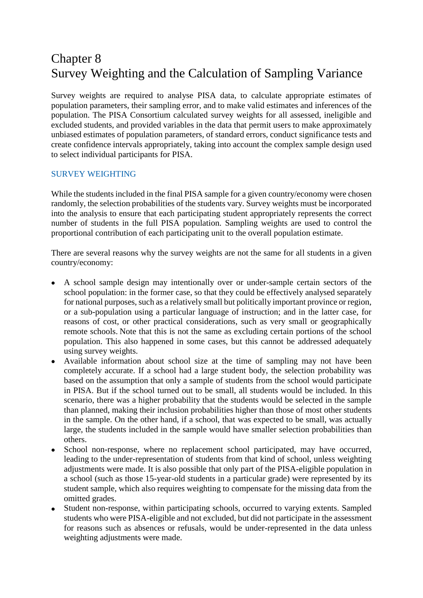# Chapter 8 Survey Weighting and the Calculation of Sampling Variance

Survey weights are required to analyse PISA data, to calculate appropriate estimates of population parameters, their sampling error, and to make valid estimates and inferences of the population. The PISA Consortium calculated survey weights for all assessed, ineligible and excluded students, and provided variables in the data that permit users to make approximately unbiased estimates of population parameters, of standard errors, conduct significance tests and create confidence intervals appropriately, taking into account the complex sample design used to select individual participants for PISA.

# SURVEY WEIGHTING

While the students included in the final PISA sample for a given country/economy were chosen randomly, the selection probabilities of the students vary. Survey weights must be incorporated into the analysis to ensure that each participating student appropriately represents the correct number of students in the full PISA population. Sampling weights are used to control the proportional contribution of each participating unit to the overall population estimate.

There are several reasons why the survey weights are not the same for all students in a given country/economy:

- A school sample design may intentionally over or under-sample certain sectors of the school population: in the former case, so that they could be effectively analysed separately for national purposes, such as a relatively small but politically important province or region, or a sub-population using a particular language of instruction; and in the latter case, for reasons of cost, or other practical considerations, such as very small or geographically remote schools. Note that this is not the same as excluding certain portions of the school population. This also happened in some cases, but this cannot be addressed adequately using survey weights.
- Available information about school size at the time of sampling may not have been completely accurate. If a school had a large student body, the selection probability was based on the assumption that only a sample of students from the school would participate in PISA. But if the school turned out to be small, all students would be included. In this scenario, there was a higher probability that the students would be selected in the sample than planned, making their inclusion probabilities higher than those of most other students in the sample. On the other hand, if a school, that was expected to be small, was actually large, the students included in the sample would have smaller selection probabilities than others.
- School non-response, where no replacement school participated, may have occurred, leading to the under-representation of students from that kind of school, unless weighting adjustments were made. It is also possible that only part of the PISA-eligible population in a school (such as those 15-year-old students in a particular grade) were represented by its student sample, which also requires weighting to compensate for the missing data from the omitted grades.
- Student non-response, within participating schools, occurred to varying extents. Sampled students who were PISA-eligible and not excluded, but did not participate in the assessment for reasons such as absences or refusals, would be under-represented in the data unless weighting adjustments were made.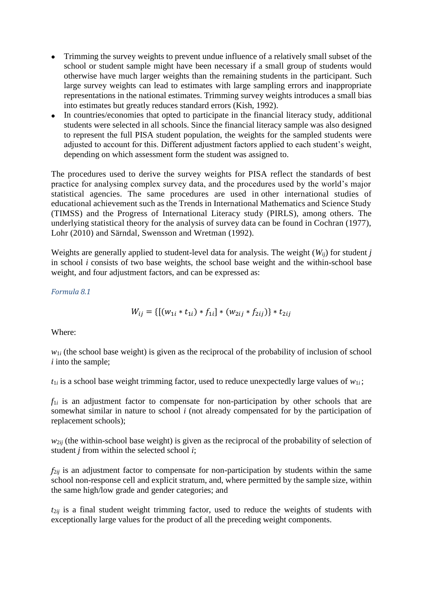- Trimming the survey weights to prevent undue influence of a relatively small subset of the school or student sample might have been necessary if a small group of students would otherwise have much larger weights than the remaining students in the participant. Such large survey weights can lead to estimates with large sampling errors and inappropriate representations in the national estimates. Trimming survey weights introduces a small bias into estimates but greatly reduces standard errors (Kish, 1992).
- In countries/economies that opted to participate in the financial literacy study, additional students were selected in all schools. Since the financial literacy sample was also designed to represent the full PISA student population, the weights for the sampled students were adjusted to account for this. Different adjustment factors applied to each student's weight, depending on which assessment form the student was assigned to.

The procedures used to derive the survey weights for PISA reflect the standards of best practice for analysing complex survey data, and the procedures used by the world's major statistical agencies. The same procedures are used in other international studies of educational achievement such as the Trends in International Mathematics and Science Study (TIMSS) and the Progress of International Literacy study (PIRLS), among others. The underlying statistical theory for the analysis of survey data can be found in Cochran (1977), Lohr (2010) and Särndal, Swensson and Wretman (1992).

Weights are generally applied to student-level data for analysis. The weight (*Wij*) for student *j* in school *i* consists of two base weights, the school base weight and the within-school base weight, and four adjustment factors, and can be expressed as:

*Formula 8.1*

$$
W_{ij} = \{ [(w_{1i} * t_{1i}) * f_{1i}] * (w_{2ij} * f_{2ij}) * t_{2ij}
$$

Where:

 $w_{1i}$  (the school base weight) is given as the reciprocal of the probability of inclusion of school *i* into the sample;

 $t_{1i}$  is a school base weight trimming factor, used to reduce unexpectedly large values of  $w_{1i}$ ;

 $f_{1i}$  is an adjustment factor to compensate for non-participation by other schools that are somewhat similar in nature to school *i* (not already compensated for by the participation of replacement schools);

*w*2*ij* (the within-school base weight) is given as the reciprocal of the probability of selection of student *j* from within the selected school *i*;

 $f_{2ii}$  is an adjustment factor to compensate for non-participation by students within the same school non-response cell and explicit stratum, and, where permitted by the sample size, within the same high/low grade and gender categories; and

 $t_{2ii}$  is a final student weight trimming factor, used to reduce the weights of students with exceptionally large values for the product of all the preceding weight components.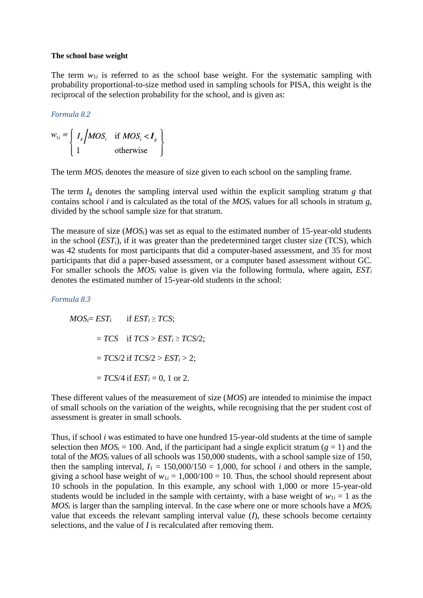#### **The school base weight**

The term  $w_{1i}$  is referred to as the school base weight. For the systematic sampling with probability proportional-to-size method used in sampling schools for PISA, this weight is the reciprocal of the selection probability for the school, and is given as:

*Formula 8.2*

 $w_{1i} = \begin{cases} I_s \mid MOS_i \text{ if } MOS_i < I_s \\ 1 \text{ otherwise} \end{cases}$ 

The term *MOS<sub>i</sub>* denotes the measure of size given to each school on the sampling frame.

The term  $I_g$  denotes the sampling interval used within the explicit sampling stratum  $g$  that contains school *i* and is calculated as the total of the *MOS<sup>i</sup>* values for all schools in stratum *g*, divided by the school sample size for that stratum.

The measure of size (*MOS<sub>i</sub>*) was set as equal to the estimated number of 15-year-old students in the school  $(EST<sub>i</sub>)$ , if it was greater than the predetermined target cluster size (TCS), which was 42 students for most participants that did a computer-based assessment, and 35 for most participants that did a paper-based assessment, or a computer based assessment without GC. For smaller schools the *MOS<sup>i</sup>* value is given via the following formula, where again, *EST<sup>i</sup>* denotes the estimated number of 15-year-old students in the school:

*Formula 8.3*

 $MOS_i = EST_i$  if  $EST_i \ge TCS$ ;  $= TCS$  if  $TCS > EST<sub>i</sub> \geq TCS/2$ ;  $= TCS/2$  if  $TCS/2 > EST<sub>i</sub> > 2$ ;  $= TCS/4$  if  $EST_i = 0$ , 1 or 2.

These different values of the measurement of size (*MOS*) are intended to minimise the impact of small schools on the variation of the weights, while recognising that the per student cost of assessment is greater in small schools.

Thus, if school *i* was estimated to have one hundred 15-year-old students at the time of sample selection then  $MOS_i = 100$ . And, if the participant had a single explicit stratum ( $g = 1$ ) and the total of the *MOS<sup>i</sup>* values of all schools was 150,000 students, with a school sample size of 150, then the sampling interval,  $I_1 = 150,000/150 = 1,000$ , for school *i* and others in the sample, giving a school base weight of  $w_{1i} = 1,000/100 = 10$ . Thus, the school should represent about 10 schools in the population. In this example, any school with 1,000 or more 15-year-old students would be included in the sample with certainty, with a base weight of  $w_{1i} = 1$  as the  $MOS_i$  is larger than the sampling interval. In the case where one or more schools have a  $MOS_i$ value that exceeds the relevant sampling interval value  $(I)$ , these schools become certainty selections, and the value of *I* is recalculated after removing them.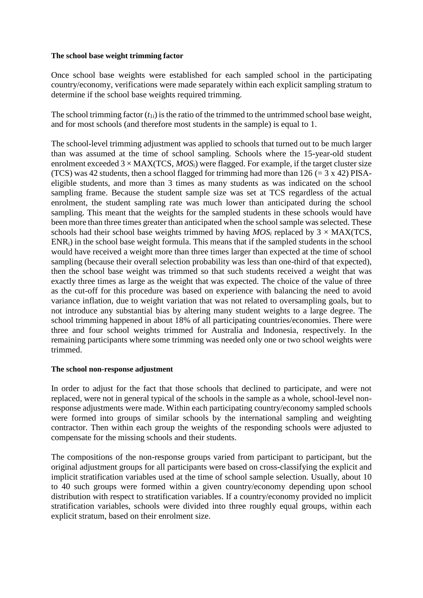## **The school base weight trimming factor**

Once school base weights were established for each sampled school in the participating country/economy, verifications were made separately within each explicit sampling stratum to determine if the school base weights required trimming.

The school trimming factor  $(t_{1i})$  is the ratio of the trimmed to the untrimmed school base weight, and for most schools (and therefore most students in the sample) is equal to 1.

The school-level trimming adjustment was applied to schools that turned out to be much larger than was assumed at the time of school sampling. Schools where the 15-year-old student enrolment exceeded  $3 \times MAX(TCS, MOS)$  were flagged. For example, if the target cluster size (TCS) was 42 students, then a school flagged for trimming had more than  $126 (= 3 \times 42)$  PISAeligible students, and more than 3 times as many students as was indicated on the school sampling frame. Because the student sample size was set at TCS regardless of the actual enrolment, the student sampling rate was much lower than anticipated during the school sampling. This meant that the weights for the sampled students in these schools would have been more than three times greater than anticipated when the school sample was selected. These schools had their school base weights trimmed by having  $MOS_i$  replaced by  $3 \times MAX(TCS)$ , ENRi) in the school base weight formula. This means that if the sampled students in the school would have received a weight more than three times larger than expected at the time of school sampling (because their overall selection probability was less than one-third of that expected), then the school base weight was trimmed so that such students received a weight that was exactly three times as large as the weight that was expected. The choice of the value of three as the cut-off for this procedure was based on experience with balancing the need to avoid variance inflation, due to weight variation that was not related to oversampling goals, but to not introduce any substantial bias by altering many student weights to a large degree. The school trimming happened in about 18% of all participating countries/economies. There were three and four school weights trimmed for Australia and Indonesia, respectively. In the remaining participants where some trimming was needed only one or two school weights were trimmed.

# **The school non-response adjustment**

In order to adjust for the fact that those schools that declined to participate, and were not replaced, were not in general typical of the schools in the sample as a whole, school-level nonresponse adjustments were made. Within each participating country/economy sampled schools were formed into groups of similar schools by the international sampling and weighting contractor. Then within each group the weights of the responding schools were adjusted to compensate for the missing schools and their students.

The compositions of the non-response groups varied from participant to participant, but the original adjustment groups for all participants were based on cross-classifying the explicit and implicit stratification variables used at the time of school sample selection. Usually, about 10 to 40 such groups were formed within a given country/economy depending upon school distribution with respect to stratification variables. If a country/economy provided no implicit stratification variables, schools were divided into three roughly equal groups, within each explicit stratum, based on their enrolment size.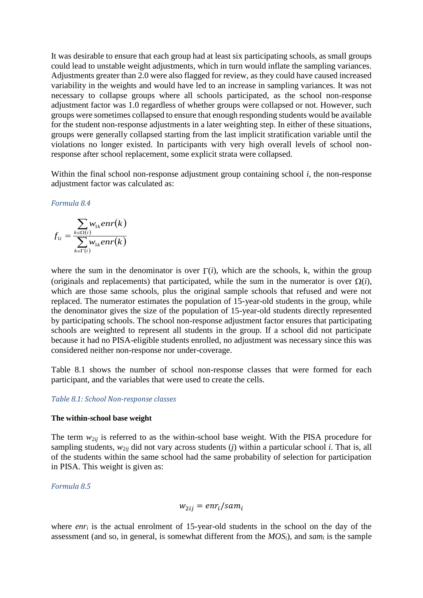It was desirable to ensure that each group had at least six participating schools, as small groups could lead to unstable weight adjustments, which in turn would inflate the sampling variances. Adjustments greater than 2.0 were also flagged for review, as they could have caused increased variability in the weights and would have led to an increase in sampling variances. It was not necessary to collapse groups where all schools participated, as the school non-response adjustment factor was 1.0 regardless of whether groups were collapsed or not. However, such groups were sometimes collapsed to ensure that enough responding students would be available for the student non-response adjustments in a later weighting step. In either of these situations, groups were generally collapsed starting from the last implicit stratification variable until the violations no longer existed. In participants with very high overall levels of school nonresponse after school replacement, some explicit strata were collapsed.

Within the final school non-response adjustment group containing school *i*, the non-response adjustment factor was calculated as:

*Formula 8.4*

$$
f_{1i} = \frac{\sum_{k \in \Omega(i)} w_{1k} env(k)}{\sum_{k \in \Gamma(i)} w_{1k} env(k)}
$$

where the sum in the denominator is over  $\Gamma(i)$ , which are the schools, k, within the group (originals and replacements) that participated, while the sum in the numerator is over  $Q(i)$ , which are those same schools, plus the original sample schools that refused and were not replaced. The numerator estimates the population of 15-year-old students in the group, while the denominator gives the size of the population of 15-year-old students directly represented by participating schools. The school non-response adjustment factor ensures that participating schools are weighted to represent all students in the group. If a school did not participate because it had no PISA-eligible students enrolled, no adjustment was necessary since this was considered neither non-response nor under-coverage.

Table 8.1 shows the number of school non-response classes that were formed for each participant, and the variables that were used to create the cells.

#### *Table 8.1: School Non-response classes*

#### **The within-school base weight**

The term  $w_{2ij}$  is referred to as the within-school base weight. With the PISA procedure for sampling students,  $w_{2ij}$  did not vary across students (*j*) within a particular school *i*. That is, all of the students within the same school had the same probability of selection for participation in PISA. This weight is given as:

*Formula 8.5*

$$
w_{2ij} = enr_i/sam_i
$$

where *enr<sub>i</sub>* is the actual enrolment of 15-year-old students in the school on the day of the assessment (and so, in general, is somewhat different from the *MOSi*), and *sam<sup>i</sup>* is the sample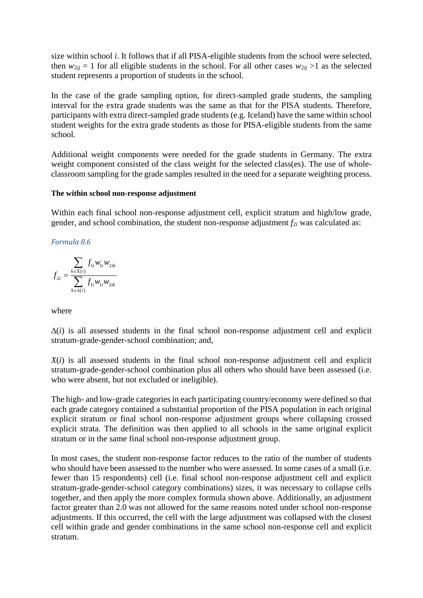size within school *i*. It follows that if all PISA-eligible students from the school were selected, then  $w_{2ij} = 1$  for all eligible students in the school. For all other cases  $w_{2ij} > 1$  as the selected student represents a proportion of students in the school.

In the case of the grade sampling option, for direct-sampled grade students, the sampling interval for the extra grade students was the same as that for the PISA students. Therefore, participants with extra direct-sampled grade students (e.g. Iceland) have the same within school student weights for the extra grade students as those for PISA-eligible students from the same school.

Additional weight components were needed for the grade students in Germany. The extra weight component consisted of the class weight for the selected class(es). The use of wholeclassroom sampling for the grade samples resulted in the need for a separate weighting process.

#### **The within school non-response adjustment**

Within each final school non-response adjustment cell, explicit stratum and high/low grade, gender, and school combination, the student non-response adjustment  $f_{2i}$  was calculated as:

#### *Formula 8.6*

$$
f_{2i} = \frac{\displaystyle\sum_{k \in X(i)} f_{1i} w_{1i} w_{2ik}}{\displaystyle\sum_{k \in \Delta(i)} f_{1i} w_{1i} w_{2ik}}
$$

#### where

 $\Delta(i)$  is all assessed students in the final school non-response adjustment cell and explicit stratum-grade-gender-school combination; and,

 $X(i)$  is all assessed students in the final school non-response adjustment cell and explicit stratum-grade-gender-school combination plus all others who should have been assessed (i.e. who were absent, but not excluded or ineligible).

The high- and low-grade categories in each participating country/economy were defined so that each grade category contained a substantial proportion of the PISA population in each original explicit stratum or final school non-response adjustment groups where collapsing crossed explicit strata. The definition was then applied to all schools in the same original explicit stratum or in the same final school non-response adjustment group.

In most cases, the student non-response factor reduces to the ratio of the number of students who should have been assessed to the number who were assessed. In some cases of a small (i.e. fewer than 15 respondents) cell (i.e. final school non-response adjustment cell and explicit stratum-grade-gender-school category combinations) sizes, it was necessary to collapse cells together, and then apply the more complex formula shown above. Additionally, an adjustment factor greater than 2.0 was not allowed for the same reasons noted under school non-response adjustments. If this occurred, the cell with the large adjustment was collapsed with the closest cell within grade and gender combinations in the same school non-response cell and explicit stratum.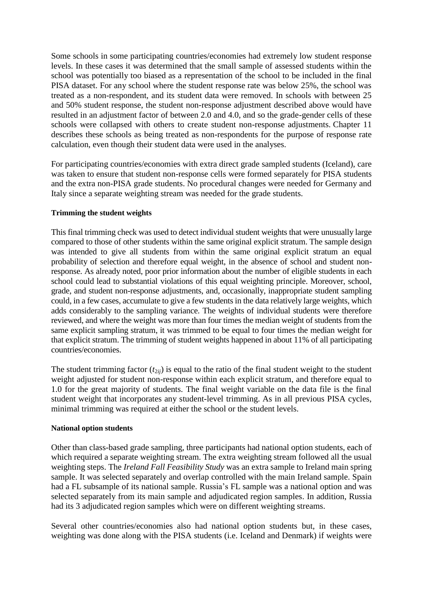Some schools in some participating countries/economies had extremely low student response levels. In these cases it was determined that the small sample of assessed students within the school was potentially too biased as a representation of the school to be included in the final PISA dataset. For any school where the student response rate was below 25%, the school was treated as a non-respondent, and its student data were removed. In schools with between 25 and 50% student response, the student non-response adjustment described above would have resulted in an adjustment factor of between 2.0 and 4.0, and so the grade-gender cells of these schools were collapsed with others to create student non-response adjustments. Chapter 11 describes these schools as being treated as non-respondents for the purpose of response rate calculation, even though their student data were used in the analyses.

For participating countries/economies with extra direct grade sampled students (Iceland), care was taken to ensure that student non-response cells were formed separately for PISA students and the extra non-PISA grade students. No procedural changes were needed for Germany and Italy since a separate weighting stream was needed for the grade students.

# **Trimming the student weights**

This final trimming check was used to detect individual student weights that were unusually large compared to those of other students within the same original explicit stratum. The sample design was intended to give all students from within the same original explicit stratum an equal probability of selection and therefore equal weight, in the absence of school and student nonresponse. As already noted, poor prior information about the number of eligible students in each school could lead to substantial violations of this equal weighting principle. Moreover, school, grade, and student non-response adjustments, and, occasionally, inappropriate student sampling could, in a few cases, accumulate to give a few students in the data relatively large weights, which adds considerably to the sampling variance. The weights of individual students were therefore reviewed, and where the weight was more than four times the median weight of students from the same explicit sampling stratum, it was trimmed to be equal to four times the median weight for that explicit stratum. The trimming of student weights happened in about 11% of all participating countries/economies.

The student trimming factor  $(t_{2ii})$  is equal to the ratio of the final student weight to the student weight adjusted for student non-response within each explicit stratum, and therefore equal to 1.0 for the great majority of students. The final weight variable on the data file is the final student weight that incorporates any student-level trimming. As in all previous PISA cycles, minimal trimming was required at either the school or the student levels.

# **National option students**

Other than class-based grade sampling, three participants had national option students, each of which required a separate weighting stream. The extra weighting stream followed all the usual weighting steps. The *Ireland Fall Feasibility Study* was an extra sample to Ireland main spring sample. It was selected separately and overlap controlled with the main Ireland sample. Spain had a FL subsample of its national sample. Russia's FL sample was a national option and was selected separately from its main sample and adjudicated region samples. In addition, Russia had its 3 adjudicated region samples which were on different weighting streams.

Several other countries/economies also had national option students but, in these cases, weighting was done along with the PISA students (i.e. Iceland and Denmark) if weights were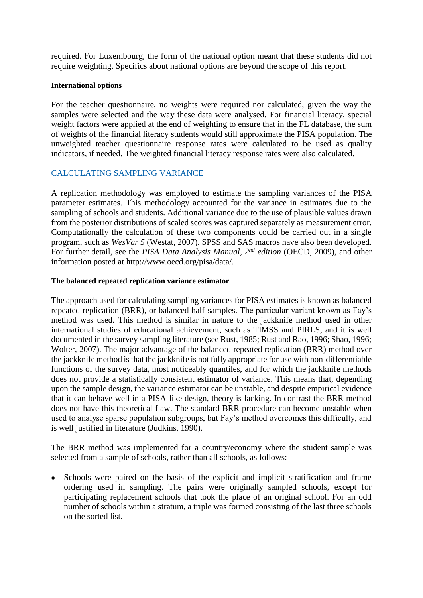required. For Luxembourg, the form of the national option meant that these students did not require weighting. Specifics about national options are beyond the scope of this report.

## **International options**

For the teacher questionnaire, no weights were required nor calculated, given the way the samples were selected and the way these data were analysed. For financial literacy, special weight factors were applied at the end of weighting to ensure that in the FL database, the sum of weights of the financial literacy students would still approximate the PISA population. The unweighted teacher questionnaire response rates were calculated to be used as quality indicators, if needed. The weighted financial literacy response rates were also calculated.

# CALCULATING SAMPLING VARIANCE

A replication methodology was employed to estimate the sampling variances of the PISA parameter estimates. This methodology accounted for the variance in estimates due to the sampling of schools and students. Additional variance due to the use of plausible values drawn from the posterior distributions of scaled scores was captured separately as measurement error. Computationally the calculation of these two components could be carried out in a single program, such as *WesVar 5* (Westat, 2007). SPSS and SAS macros have also been developed. For further detail, see the *PISA Data Analysis Manual, 2nd edition* (OECD, 2009), and other information posted at http://www.oecd.org/pisa/data/.

## **The balanced repeated replication variance estimator**

The approach used for calculating sampling variances for PISA estimates is known as balanced repeated replication (BRR), or balanced half-samples. The particular variant known as Fay's method was used. This method is similar in nature to the jackknife method used in other international studies of educational achievement, such as TIMSS and PIRLS, and it is well documented in the survey sampling literature (see Rust, 1985; Rust and Rao, 1996; Shao, 1996; Wolter, 2007). The major advantage of the balanced repeated replication (BRR) method over the jackknife method is that the jackknife is not fully appropriate for use with non-differentiable functions of the survey data, most noticeably quantiles, and for which the jackknife methods does not provide a statistically consistent estimator of variance. This means that, depending upon the sample design, the variance estimator can be unstable, and despite empirical evidence that it can behave well in a PISA-like design, theory is lacking. In contrast the BRR method does not have this theoretical flaw. The standard BRR procedure can become unstable when used to analyse sparse population subgroups, but Fay's method overcomes this difficulty, and is well justified in literature (Judkins, 1990).

The BRR method was implemented for a country/economy where the student sample was selected from a sample of schools, rather than all schools, as follows:

 Schools were paired on the basis of the explicit and implicit stratification and frame ordering used in sampling. The pairs were originally sampled schools, except for participating replacement schools that took the place of an original school. For an odd number of schools within a stratum, a triple was formed consisting of the last three schools on the sorted list.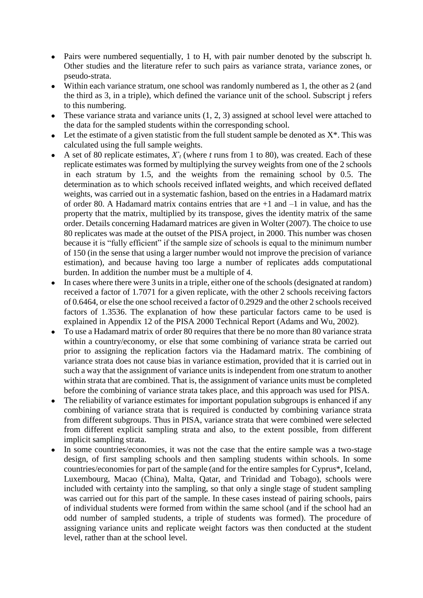- Pairs were numbered sequentially, 1 to H, with pair number denoted by the subscript h. Other studies and the literature refer to such pairs as variance strata, variance zones, or pseudo-strata.
- Within each variance stratum, one school was randomly numbered as 1, the other as 2 (and the third as 3, in a triple), which defined the variance unit of the school. Subscript j refers to this numbering.
- These variance strata and variance units  $(1, 2, 3)$  assigned at school level were attached to the data for the sampled students within the corresponding school.
- Let the estimate of a given statistic from the full student sample be denoted as  $X^*$ . This was calculated using the full sample weights.
- A set of 80 replicate estimates,  $X^*$  (where *t* runs from 1 to 80), was created. Each of these replicate estimates was formed by multiplying the survey weights from one of the 2 schools in each stratum by 1.5, and the weights from the remaining school by 0.5. The determination as to which schools received inflated weights, and which received deflated weights, was carried out in a systematic fashion, based on the entries in a Hadamard matrix of order 80. A Hadamard matrix contains entries that are +1 and –1 in value, and has the property that the matrix, multiplied by its transpose, gives the identity matrix of the same order. Details concerning Hadamard matrices are given in Wolter (2007). The choice to use 80 replicates was made at the outset of the PISA project, in 2000. This number was chosen because it is "fully efficient" if the sample size of schools is equal to the minimum number of 150 (in the sense that using a larger number would not improve the precision of variance estimation), and because having too large a number of replicates adds computational burden. In addition the number must be a multiple of 4.
- In cases where there were 3 units in a triple, either one of the schools (designated at random) received a factor of 1.7071 for a given replicate, with the other 2 schools receiving factors of 0.6464, or else the one school received a factor of 0.2929 and the other 2 schools received factors of 1.3536. The explanation of how these particular factors came to be used is explained in Appendix 12 of the PISA 2000 Technical Report (Adams and Wu, 2002).
- To use a Hadamard matrix of order 80 requires that there be no more than 80 variance strata within a country/economy, or else that some combining of variance strata be carried out prior to assigning the replication factors via the Hadamard matrix. The combining of variance strata does not cause bias in variance estimation, provided that it is carried out in such a way that the assignment of variance units is independent from one stratum to another within strata that are combined. That is, the assignment of variance units must be completed before the combining of variance strata takes place, and this approach was used for PISA.
- The reliability of variance estimates for important population subgroups is enhanced if any combining of variance strata that is required is conducted by combining variance strata from different subgroups. Thus in PISA, variance strata that were combined were selected from different explicit sampling strata and also, to the extent possible, from different implicit sampling strata.
- In some countries/economies, it was not the case that the entire sample was a two-stage design, of first sampling schools and then sampling students within schools. In some countries/economies for part of the sample (and for the entire samples for Cyprus\*, Iceland, Luxembourg, Macao (China), Malta, Qatar, and Trinidad and Tobago), schools were included with certainty into the sampling, so that only a single stage of student sampling was carried out for this part of the sample. In these cases instead of pairing schools, pairs of individual students were formed from within the same school (and if the school had an odd number of sampled students, a triple of students was formed). The procedure of assigning variance units and replicate weight factors was then conducted at the student level, rather than at the school level.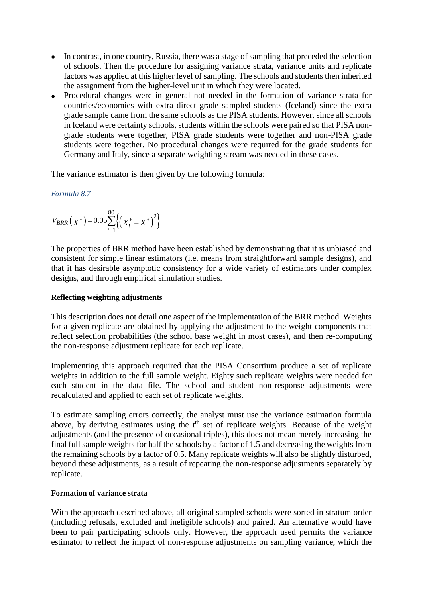- In contrast, in one country, Russia, there was a stage of sampling that preceded the selection of schools. Then the procedure for assigning variance strata, variance units and replicate factors was applied at this higher level of sampling. The schools and students then inherited the assignment from the higher-level unit in which they were located.
- Procedural changes were in general not needed in the formation of variance strata for countries/economies with extra direct grade sampled students (Iceland) since the extra grade sample came from the same schools as the PISA students. However, since all schools in Iceland were certainty schools, students within the schools were paired so that PISA nongrade students were together, PISA grade students were together and non-PISA grade students were together. No procedural changes were required for the grade students for Germany and Italy, since a separate weighting stream was needed in these cases.

The variance estimator is then given by the following formula:

*Formula 8.7*

$$
V_{BRR}(x^*) = 0.05 \sum_{t=1}^{80} \left\{ \left( x_t^* - x^* \right)^2 \right\}
$$

The properties of BRR method have been established by demonstrating that it is unbiased and consistent for simple linear estimators (i.e. means from straightforward sample designs), and that it has desirable asymptotic consistency for a wide variety of estimators under complex designs, and through empirical simulation studies.

# **Reflecting weighting adjustments**

This description does not detail one aspect of the implementation of the BRR method. Weights for a given replicate are obtained by applying the adjustment to the weight components that reflect selection probabilities (the school base weight in most cases), and then re-computing the non-response adjustment replicate for each replicate.

Implementing this approach required that the PISA Consortium produce a set of replicate weights in addition to the full sample weight. Eighty such replicate weights were needed for each student in the data file. The school and student non-response adjustments were recalculated and applied to each set of replicate weights.

To estimate sampling errors correctly, the analyst must use the variance estimation formula above, by deriving estimates using the  $t<sup>th</sup>$  set of replicate weights. Because of the weight adjustments (and the presence of occasional triples), this does not mean merely increasing the final full sample weights for half the schools by a factor of 1.5 and decreasing the weights from the remaining schools by a factor of 0.5. Many replicate weights will also be slightly disturbed, beyond these adjustments, as a result of repeating the non-response adjustments separately by replicate.

# **Formation of variance strata**

With the approach described above, all original sampled schools were sorted in stratum order (including refusals, excluded and ineligible schools) and paired. An alternative would have been to pair participating schools only. However, the approach used permits the variance estimator to reflect the impact of non-response adjustments on sampling variance, which the